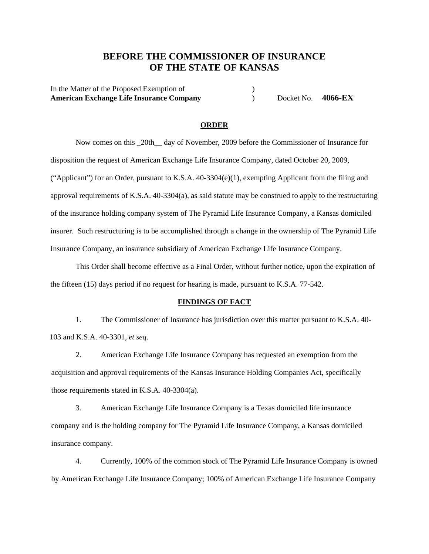# **BEFORE THE COMMISSIONER OF INSURANCE OF THE STATE OF KANSAS**

In the Matter of the Proposed Exemption of  $\qquad \qquad$  ) **American Exchange Life Insurance Company** ) Docket No. **4066-EX**

#### **ORDER**

Now comes on this \_20th\_\_ day of November, 2009 before the Commissioner of Insurance for disposition the request of American Exchange Life Insurance Company, dated October 20, 2009, ("Applicant") for an Order, pursuant to K.S.A. 40-3304(e)(1), exempting Applicant from the filing and approval requirements of K.S.A. 40-3304(a), as said statute may be construed to apply to the restructuring of the insurance holding company system of The Pyramid Life Insurance Company, a Kansas domiciled insurer. Such restructuring is to be accomplished through a change in the ownership of The Pyramid Life Insurance Company, an insurance subsidiary of American Exchange Life Insurance Company.

This Order shall become effective as a Final Order, without further notice, upon the expiration of the fifteen (15) days period if no request for hearing is made, pursuant to K.S.A. 77-542.

#### **FINDINGS OF FACT**

1. The Commissioner of Insurance has jurisdiction over this matter pursuant to K.S.A. 40- 103 and K.S.A. 40-3301, *et seq*.

2. American Exchange Life Insurance Company has requested an exemption from the acquisition and approval requirements of the Kansas Insurance Holding Companies Act, specifically those requirements stated in K.S.A. 40-3304(a).

3. American Exchange Life Insurance Company is a Texas domiciled life insurance company and is the holding company for The Pyramid Life Insurance Company, a Kansas domiciled insurance company.

4. Currently, 100% of the common stock of The Pyramid Life Insurance Company is owned by American Exchange Life Insurance Company; 100% of American Exchange Life Insurance Company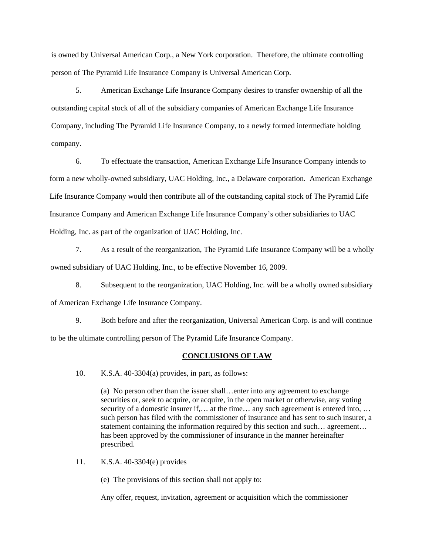is owned by Universal American Corp., a New York corporation. Therefore, the ultimate controlling person of The Pyramid Life Insurance Company is Universal American Corp.

5. American Exchange Life Insurance Company desires to transfer ownership of all the outstanding capital stock of all of the subsidiary companies of American Exchange Life Insurance Company, including The Pyramid Life Insurance Company, to a newly formed intermediate holding company.

 6. To effectuate the transaction, American Exchange Life Insurance Company intends to form a new wholly-owned subsidiary, UAC Holding, Inc., a Delaware corporation. American Exchange Life Insurance Company would then contribute all of the outstanding capital stock of The Pyramid Life Insurance Company and American Exchange Life Insurance Company's other subsidiaries to UAC Holding, Inc. as part of the organization of UAC Holding, Inc.

 7. As a result of the reorganization, The Pyramid Life Insurance Company will be a wholly owned subsidiary of UAC Holding, Inc., to be effective November 16, 2009.

 8. Subsequent to the reorganization, UAC Holding, Inc. will be a wholly owned subsidiary of American Exchange Life Insurance Company.

 9. Both before and after the reorganization, Universal American Corp. is and will continue to be the ultimate controlling person of The Pyramid Life Insurance Company.

### **CONCLUSIONS OF LAW**

10. K.S.A. 40-3304(a) provides, in part, as follows:

(a) No person other than the issuer shall…enter into any agreement to exchange securities or, seek to acquire, or acquire, in the open market or otherwise, any voting security of a domestic insurer if,... at the time... any such agreement is entered into, ... such person has filed with the commissioner of insurance and has sent to such insurer, a statement containing the information required by this section and such… agreement… has been approved by the commissioner of insurance in the manner hereinafter prescribed.

11. K.S.A. 40-3304(e) provides

(e) The provisions of this section shall not apply to:

Any offer, request, invitation, agreement or acquisition which the commissioner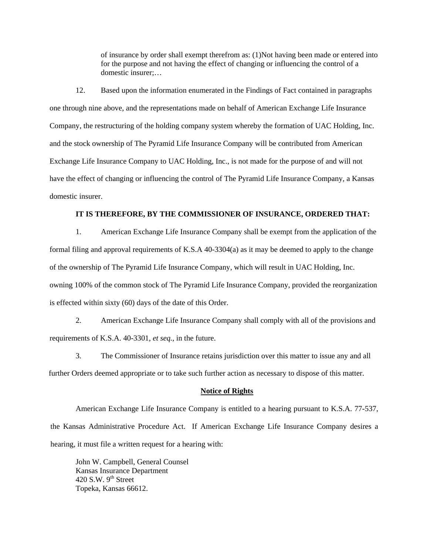of insurance by order shall exempt therefrom as: (1)Not having been made or entered into for the purpose and not having the effect of changing or influencing the control of a domestic insurer;…

12. Based upon the information enumerated in the Findings of Fact contained in paragraphs one through nine above, and the representations made on behalf of American Exchange Life Insurance Company, the restructuring of the holding company system whereby the formation of UAC Holding, Inc. and the stock ownership of The Pyramid Life Insurance Company will be contributed from American Exchange Life Insurance Company to UAC Holding, Inc., is not made for the purpose of and will not have the effect of changing or influencing the control of The Pyramid Life Insurance Company, a Kansas domestic insurer.

#### **IT IS THEREFORE, BY THE COMMISSIONER OF INSURANCE, ORDERED THAT:**

1. American Exchange Life Insurance Company shall be exempt from the application of the formal filing and approval requirements of K.S.A 40-3304(a) as it may be deemed to apply to the change of the ownership of The Pyramid Life Insurance Company, which will result in UAC Holding, Inc. owning 100% of the common stock of The Pyramid Life Insurance Company, provided the reorganization is effected within sixty (60) days of the date of this Order.

2. American Exchange Life Insurance Company shall comply with all of the provisions and requirements of K.S.A. 40-3301, *et seq.*, in the future.

3. The Commissioner of Insurance retains jurisdiction over this matter to issue any and all further Orders deemed appropriate or to take such further action as necessary to dispose of this matter.

#### **Notice of Rights**

American Exchange Life Insurance Company is entitled to a hearing pursuant to K.S.A. 77-537, the Kansas Administrative Procedure Act. If American Exchange Life Insurance Company desires a hearing, it must file a written request for a hearing with:

John W. Campbell, General Counsel Kansas Insurance Department 420 S.W.  $9<sup>th</sup>$  Street Topeka, Kansas 66612.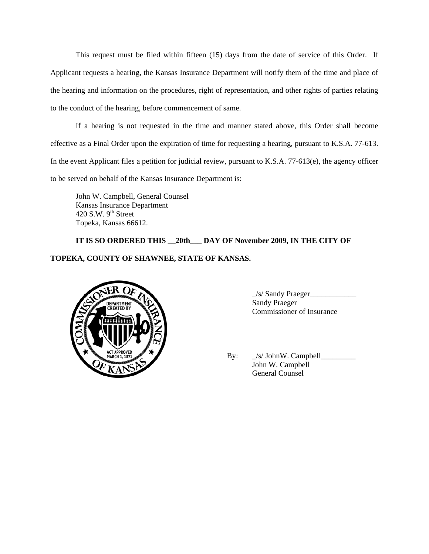This request must be filed within fifteen (15) days from the date of service of this Order. If Applicant requests a hearing, the Kansas Insurance Department will notify them of the time and place of the hearing and information on the procedures, right of representation, and other rights of parties relating to the conduct of the hearing, before commencement of same.

If a hearing is not requested in the time and manner stated above, this Order shall become effective as a Final Order upon the expiration of time for requesting a hearing, pursuant to K.S.A. 77-613. In the event Applicant files a petition for judicial review, pursuant to K.S.A. 77-613(e), the agency officer to be served on behalf of the Kansas Insurance Department is:

John W. Campbell, General Counsel Kansas Insurance Department 420 S.W.  $9<sup>th</sup>$  Street Topeka, Kansas 66612.

## **IT IS SO ORDERED THIS \_\_20th\_\_\_ DAY OF November 2009, IN THE CITY OF**

### **TOPEKA, COUNTY OF SHAWNEE, STATE OF KANSAS.**



\_/s/ Sandy Praeger\_\_\_\_\_\_\_\_\_\_\_\_ Commissioner of Insurance

 By: \_/s/ JohnW. Campbell\_\_\_\_\_\_\_\_\_ John W. Campbell General Counsel